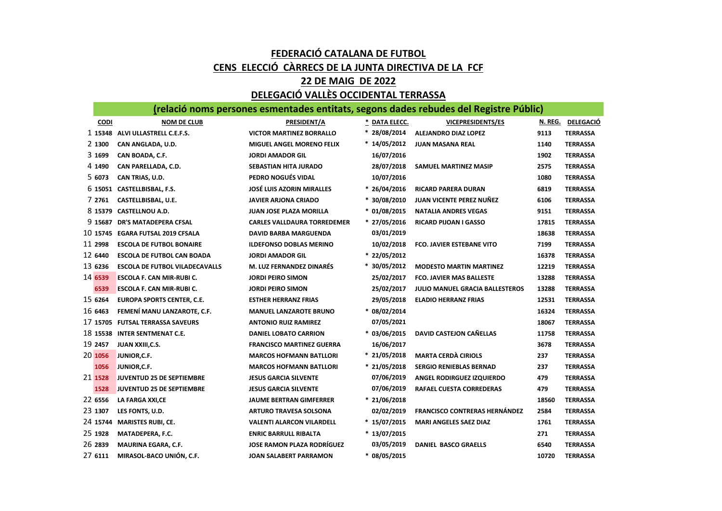## FEDERACIÓ CATALANA DE FUTBOL CENS ELECCIÓ CÀRRECS DE LA JUNTA DIRECTIVA DE LA FCF

## 22 DE MAIG DE 2022

## DELEGACIÓ VALLÈS OCCIDENTAL TERRASSA

|             | (relació noms persones esmentades entitats, segons dades rebudes del Registre Públic) |                                    |                |                                      |         |                  |  |  |  |  |  |  |
|-------------|---------------------------------------------------------------------------------------|------------------------------------|----------------|--------------------------------------|---------|------------------|--|--|--|--|--|--|
| <b>CODI</b> | <b>NOM DE CLUB</b>                                                                    | PRESIDENT/A                        | * DATA ELECC.  | <b>VICEPRESIDENTS/ES</b>             | N. REG. | <b>DELEGACIÓ</b> |  |  |  |  |  |  |
|             | 1 15348 ALVI ULLASTRELL C.E.F.S.                                                      | <b>VICTOR MARTINEZ BORRALLO</b>    | $* 28/08/2014$ | <b>ALEJANDRO DIAZ LOPEZ</b>          | 9113    | <b>TERRASSA</b>  |  |  |  |  |  |  |
| 2 1300      | CAN ANGLADA, U.D.                                                                     | <b>MIGUEL ANGEL MORENO FELIX</b>   | $*14/05/2012$  | <b>JUAN MASANA REAL</b>              | 1140    | <b>TERRASSA</b>  |  |  |  |  |  |  |
| 3 1699      | CAN BOADA, C.F.                                                                       | <b>JORDI AMADOR GIL</b>            | 16/07/2016     |                                      | 1902    | <b>TERRASSA</b>  |  |  |  |  |  |  |
| 4 1490      | CAN PARELLADA, C.D.                                                                   | <b>SEBASTIAN HITA JURADO</b>       | 28/07/2018     | SAMUEL MARTINEZ MASIP                | 2575    | <b>TERRASSA</b>  |  |  |  |  |  |  |
| 5 6073      | CAN TRIAS, U.D.                                                                       | PEDRO NOGUÉS VIDAL                 | 10/07/2016     |                                      | 1080    | <b>TERRASSA</b>  |  |  |  |  |  |  |
|             | 6 15051 CASTELLBISBAL, F.S.                                                           | <b>JOSÉ LUIS AZORIN MIRALLES</b>   | $* 26/04/2016$ | <b>RICARD PARERA DURAN</b>           | 6819    | <b>TERRASSA</b>  |  |  |  |  |  |  |
| 7 2761      | CASTELLBISBAL, U.E.                                                                   | <b>JAVIER ARJONA CRIADO</b>        | $*30/08/2010$  | <b>JUAN VICENTE PEREZ NUÑEZ</b>      | 6106    | <b>TERRASSA</b>  |  |  |  |  |  |  |
|             | 8 15379 CASTELLNOU A.D.                                                               | <b>JUAN JOSE PLAZA MORILLA</b>     | $* 01/08/2015$ | <b>NATALIA ANDRES VEGAS</b>          | 9151    | <b>TERRASSA</b>  |  |  |  |  |  |  |
|             | 9 15687 DR'S MATADEPERA CFSAL                                                         | <b>CARLES VALLDAURA TORREDEMER</b> | $* 27/05/2016$ | <b>RICARD PIJOAN I GASSO</b>         | 17815   | <b>TERRASSA</b>  |  |  |  |  |  |  |
|             | 10 15745 EGARA FUTSAL 2019 CFSALA                                                     | <b>DAVID BARBA MARGUENDA</b>       | 03/01/2019     |                                      | 18638   | <b>TERRASSA</b>  |  |  |  |  |  |  |
| 11 2998     | <b>ESCOLA DE FUTBOL BONAIRE</b>                                                       | <b>ILDEFONSO DOBLAS MERINO</b>     | 10/02/2018     | <b>FCO. JAVIER ESTEBANE VITO</b>     | 7199    | <b>TERRASSA</b>  |  |  |  |  |  |  |
| 12 6440     | <b>ESCOLA DE FUTBOL CAN BOADA</b>                                                     | <b>JORDI AMADOR GIL</b>            | * 22/05/2012   |                                      | 16378   | <b>TERRASSA</b>  |  |  |  |  |  |  |
| 13 6236     | <b>ESCOLA DE FUTBOL VILADECAVALLS</b>                                                 | <b>M. LUZ FERNANDEZ DINARÉS</b>    | $*30/05/2012$  | <b>MODESTO MARTIN MARTINEZ</b>       | 12219   | <b>TERRASSA</b>  |  |  |  |  |  |  |
| 14 6539     | ESCOLA F. CAN MIR-RUBI C.                                                             | <b>JORDI PEIRO SIMON</b>           | 25/02/2017     | <b>FCO. JAVIER MAS BALLESTE</b>      | 13288   | <b>TERRASSA</b>  |  |  |  |  |  |  |
| 6539        | ESCOLA F. CAN MIR-RUBI C.                                                             | <b>JORDI PEIRO SIMON</b>           | 25/02/2017     | JULIO MANUEL GRACIA BALLESTEROS      | 13288   | <b>TERRASSA</b>  |  |  |  |  |  |  |
| 15 6264     | <b>EUROPA SPORTS CENTER, C.E.</b>                                                     | <b>ESTHER HERRANZ FRIAS</b>        | 29/05/2018     | <b>ELADIO HERRANZ FRIAS</b>          | 12531   | <b>TERRASSA</b>  |  |  |  |  |  |  |
| 16 6463     | FEMENÍ MANU LANZAROTE, C.F.                                                           | <b>MANUEL LANZAROTE BRUNO</b>      | $* 08/02/2014$ |                                      | 16324   | <b>TERRASSA</b>  |  |  |  |  |  |  |
|             | 17 15705 FUTSAL TERRASSA SAVEURS                                                      | <b>ANTONIO RUIZ RAMIREZ</b>        | 07/05/2021     |                                      | 18067   | <b>TERRASSA</b>  |  |  |  |  |  |  |
|             | 18 15538 INTER SENTMENAT C.E.                                                         | <b>DANIEL LOBATO CARRION</b>       | $* 03/06/2015$ | DAVID CASTEJON CAÑELLAS              | 11758   | <b>TERRASSA</b>  |  |  |  |  |  |  |
| 19 2457     | JUAN XXIII, C.S.                                                                      | <b>FRANCISCO MARTINEZ GUERRA</b>   | 16/06/2017     |                                      | 3678    | <b>TERRASSA</b>  |  |  |  |  |  |  |
| 20 1056     | JUNIOR, C.F.                                                                          | <b>MARCOS HOFMANN BATLLORI</b>     | $* 21/05/2018$ | <b>MARTA CERDÀ CIRIOLS</b>           | 237     | <b>TERRASSA</b>  |  |  |  |  |  |  |
| 1056        | JUNIOR, C.F.                                                                          | <b>MARCOS HOFMANN BATLLORI</b>     | $* 21/05/2018$ | <b>SERGIO RENIEBLAS BERNAD</b>       | 237     | <b>TERRASSA</b>  |  |  |  |  |  |  |
| 21 1528     | <b>JUVENTUD 25 DE SEPTIEMBRE</b>                                                      | <b>JESUS GARCIA SILVENTE</b>       | 07/06/2019     | ANGEL RODIRGUEZ IZQUIERDO            | 479     | <b>TERRASSA</b>  |  |  |  |  |  |  |
| 1528        | JUVENTUD 25 DE SEPTIEMBRE                                                             | <b>JESUS GARCIA SILVENTE</b>       | 07/06/2019     | RAFAEL CUESTA CORREDERAS             | 479     | <b>TERRASSA</b>  |  |  |  |  |  |  |
| 22 6556     | LA FARGA XXI,CE                                                                       | <b>JAUME BERTRAN GIMFERRER</b>     | $* 21/06/2018$ |                                      | 18560   | <b>TERRASSA</b>  |  |  |  |  |  |  |
| 23 1307     | LES FONTS, U.D.                                                                       | <b>ARTURO TRAVESA SOLSONA</b>      | 02/02/2019     | <b>FRANCISCO CONTRERAS HERNÁNDEZ</b> | 2584    | <b>TERRASSA</b>  |  |  |  |  |  |  |
|             | 24 15744 MARISTES RUBI, CE.                                                           | <b>VALENTI ALARCON VILARDELL</b>   | $*15/07/2015$  | <b>MARI ANGELES SAEZ DIAZ</b>        | 1761    | <b>TERRASSA</b>  |  |  |  |  |  |  |
| 25 1928     | MATADEPERA, F.C.                                                                      | <b>ENRIC BARRULL RIBALTA</b>       | $*13/07/2015$  |                                      | 271     | <b>TERRASSA</b>  |  |  |  |  |  |  |
| 26 2839     | MAURINA EGARA, C.F.                                                                   | <b>JOSE RAMON PLAZA RODRÍGUEZ</b>  | 03/05/2019     | <b>DANIEL BASCO GRAELLS</b>          | 6540    | <b>TERRASSA</b>  |  |  |  |  |  |  |
| 27 6111     | MIRASOL-BACO UNIÓN, C.F.                                                              | JOAN SALABERT PARRAMON             | $* 08/05/2015$ |                                      | 10720   | <b>TERRASSA</b>  |  |  |  |  |  |  |